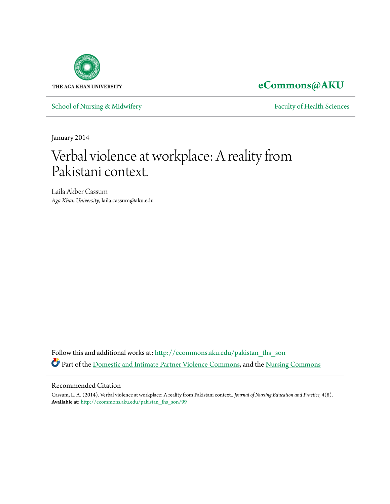

**[eCommons@AKU](http://ecommons.aku.edu?utm_source=ecommons.aku.edu%2Fpakistan_fhs_son%2F99&utm_medium=PDF&utm_campaign=PDFCoverPages)**

[School of Nursing & Midwifery](http://ecommons.aku.edu/pakistan_fhs_son?utm_source=ecommons.aku.edu%2Fpakistan_fhs_son%2F99&utm_medium=PDF&utm_campaign=PDFCoverPages) [Faculty of Health Sciences](http://ecommons.aku.edu/pakistan_fhs?utm_source=ecommons.aku.edu%2Fpakistan_fhs_son%2F99&utm_medium=PDF&utm_campaign=PDFCoverPages)

January 2014

# Verbal violence at workplace: A reality from Pakistani context.

Laila Akber Cassum *Aga Khan University*, laila.cassum@aku.edu

Follow this and additional works at: [http://ecommons.aku.edu/pakistan\\_fhs\\_son](http://ecommons.aku.edu/pakistan_fhs_son?utm_source=ecommons.aku.edu%2Fpakistan_fhs_son%2F99&utm_medium=PDF&utm_campaign=PDFCoverPages) Part of the [Domestic and Intimate Partner Violence Commons,](http://network.bepress.com/hgg/discipline/1309?utm_source=ecommons.aku.edu%2Fpakistan_fhs_son%2F99&utm_medium=PDF&utm_campaign=PDFCoverPages) and the [Nursing Commons](http://network.bepress.com/hgg/discipline/718?utm_source=ecommons.aku.edu%2Fpakistan_fhs_son%2F99&utm_medium=PDF&utm_campaign=PDFCoverPages)

#### Recommended Citation

Cassum, L. A. (2014). Verbal violence at workplace: A reality from Pakistani context.. *Journal of Nursing Education and Practice, 4*(8). **Available at:** [http://ecommons.aku.edu/pakistan\\_fhs\\_son/99](http://ecommons.aku.edu/pakistan_fhs_son/99)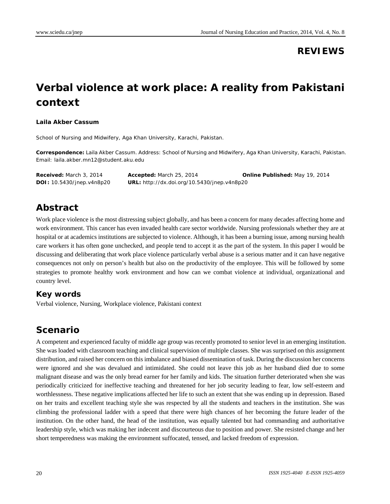## **REVIEWS**

# **Verbal violence at work place: A reality from Pakistani context**

#### **Laila Akber Cassum**

School of Nursing and Midwifery, Aga Khan University, Karachi, Pakistan.

**Correspondence:** Laila Akber Cassum. Address: School of Nursing and Midwifery, Aga Khan University, Karachi, Pakistan. Email: laila.akber.mn12@student.aku.edu

**Received:** March 3, 2014 **Accepted:** March 25, 2014 **Online Published:** May 19, 2014 **DOI:** 10.5430/jnep.v4n8p20 **URL:** http://dx.doi.org/10.5430/jnep.v4n8p20

# **Abstract**

Work place violence is the most distressing subject globally, and has been a concern for many decades affecting home and work environment. This cancer has even invaded health care sector worldwide. Nursing professionals whether they are at hospital or at academics institutions are subjected to violence. Although, it has been a burning issue, among nursing health care workers it has often gone unchecked, and people tend to accept it as the part of the system. In this paper I would be discussing and deliberating that work place violence particularly verbal abuse is a serious matter and it can have negative consequences not only on person's health but also on the productivity of the employee. This will be followed by some strategies to promote healthy work environment and how can we combat violence at individual, organizational and country level.

#### **Key words**

Verbal violence, Nursing, Workplace violence, Pakistani context

## **Scenario**

A competent and experienced faculty of middle age group was recently promoted to senior level in an emerging institution. She was loaded with classroom teaching and clinical supervision of multiple classes. She was surprised on this assignment distribution, and raised her concern on this imbalance and biased dissemination of task. During the discussion her concerns were ignored and she was devalued and intimidated. She could not leave this job as her husband died due to some malignant disease and was the only bread earner for her family and kids. The situation further deteriorated when she was periodically criticized for ineffective teaching and threatened for her job security leading to fear, low self-esteem and worthlessness. These negative implications affected her life to such an extent that she was ending up in depression. Based on her traits and excellent teaching style she was respected by all the students and teachers in the institution. She was climbing the professional ladder with a speed that there were high chances of her becoming the future leader of the institution. On the other hand, the head of the institution, was equally talented but had commanding and authoritative leadership style, which was making her indecent and discourteous due to position and power. She resisted change and her short temperedness was making the environment suffocated, tensed, and lacked freedom of expression.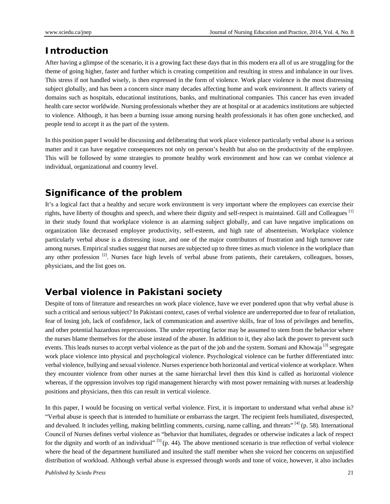### **Introduction**

After having a glimpse of the scenario, it is a growing fact these days that in this modern era all of us are struggling for the theme of going higher, faster and further which is creating competition and resulting in stress and imbalance in our lives. This stress if not handled wisely, is then expressed in the form of violence. Work place violence is the most distressing subject globally, and has been a concern since many decades affecting home and work environment. It affects variety of domains such as hospitals, educational institutions, banks, and multinational companies. This cancer has even invaded health care sector worldwide. Nursing professionals whether they are at hospital or at academics institutions are subjected to violence. Although, it has been a burning issue among nursing health professionals it has often gone unchecked, and people tend to accept it as the part of the system.

In this position paper I would be discussing and deliberating that work place violence particularly verbal abuse is a serious matter and it can have negative consequences not only on person's health but also on the productivity of the employee. This will be followed by some strategies to promote healthy work environment and how can we combat violence at individual, organizational and country level.

# **Significance of the problem**

It's a logical fact that a healthy and secure work environment is very important where the employees can exercise their rights, have liberty of thoughts and speech, and where their dignity and self-respect is maintained. Gill and Colleagues [1] in their study found that workplace violence is an alarming subject globally, and can have negative implications on organization like decreased employee productivity, self-esteem, and high rate of absenteeism. Workplace violence particularly verbal abuse is a distressing issue, and one of the major contributors of frustration and high turnover rate among nurses. Empirical studies suggest that nurses are subjected up to three times as much violence in the workplace than any other profession <sup>[2]</sup>. Nurses face high levels of verbal abuse from patients, their caretakers, colleagues, bosses, physicians, and the list goes on.

# **Verbal violence in Pakistani society**

Despite of tons of literature and researches on work place violence, have we ever pondered upon that why verbal abuse is such a critical and serious subject? In Pakistani context, cases of verbal violence are underreported due to fear of retaliation, fear of losing job, lack of confidence, lack of communication and assertive skills, fear of loss of privileges and benefits, and other potential hazardous repercussions. The under reporting factor may be assumed to stem from the behavior where the nurses blame themselves for the abuse instead of the abuser. In addition to it, they also lack the power to prevent such events. This leads nurses to accept verbal violence as the part of the job and the system. Somani and Khowaja <sup>[3]</sup> segregate work place violence into physical and psychological violence. Psychological violence can be further differentiated into: verbal violence, bullying and sexual violence. Nurses experience both horizontal and vertical violence at workplace. When they encounter violence from other nurses at the same hierarchal level then this kind is called as horizontal violence whereas, if the oppression involves top rigid management hierarchy with most power remaining with nurses at leadership positions and physicians, then this can result in vertical violence.

In this paper, I would be focusing on vertical verbal violence. First, it is important to understand what verbal abuse is? "Verbal abuse is speech that is intended to humiliate or embarrass the target. The recipient feels humiliated, disrespected, and devalued. It includes yelling, making belittling comments, cursing, name calling, and threats"  $\frac{4}{1}$  (p. 58). International Council of Nurses defines verbal violence as "behavior that humiliates, degrades or otherwise indicates a lack of respect for the dignity and worth of an individual"  $[5]$  (p. 44). The above mentioned scenario is true reflection of verbal violence where the head of the department humiliated and insulted the staff member when she voiced her concerns on unjustified distribution of workload. Although verbal abuse is expressed through words and tone of voice, however, it also includes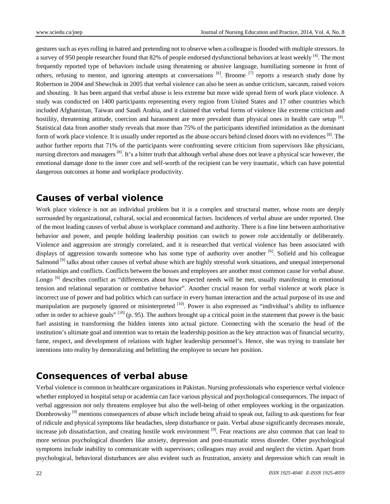gestures such as eyes rolling in hatred and pretending not to observe when a colleague is flooded with multiple stressors. In a survey of 950 people researcher found that 82% of people endorsed dysfunctional behaviors at least weekly [4]. The most frequently reported type of behaviors include using threatening or abusive language, humiliating someone in front of others, refusing to mentor, and ignoring attempts at conversations [6]. Broome [7] reports a research study done by Robertson in 2004 and Shewchuk in 2005 that verbal violence can also be seen as undue criticism, sarcasm, raised voices and shouting. It has been argued that verbal abuse is less extreme but more wide spread form of work place violence. A study was conducted on 1400 participants representing every region from United States and 17 other countries which included Afghanistan, Taiwan and Saudi Arabia, and it claimed that verbal forms of violence like extreme criticism and hostility, threatening attitude, coercion and harassment are more prevalent than physical ones in health care setup [8]. Statistical data from another study reveals that more than 75% of the participants identified intimidation as the dominant form of work place violence. It is usually under reported as the abuse occurs behind closed doors with no evidences [8]. The author further reports that 71% of the participants were confronting severe criticism from supervisors like physicians, nursing directors and managers <sup>[8]</sup>. It's a bitter truth that although verbal abuse does not leave a physical scar however, the emotional damage done to the inner core and self-worth of the recipient can be very traumatic, which can have potential dangerous outcomes at home and workplace productivity.

#### **Causes of verbal violence**

Work place violence is not an individual problem but it is a complex and structural matter, whose roots are deeply surrounded by organizational, cultural, social and economical factors. Incidences of verbal abuse are under reported. One of the most leading causes of verbal abuse is workplace command and authority. There is a fine line between authoritative behavior and power, and people holding leadership position can switch to power role accidentally or deliberately. Violence and aggression are strongly correlated, and it is researched that vertical violence has been associated with displays of aggression towards someone who has some type of authority over another <sup>[6]</sup>. Sofield and his colleague Salmond <sup>[9]</sup> talks about other causes of verbal abuse which are highly stressful work situations, and unequal interpersonal relationships and conflicts. Conflicts between the bosses and employees are another most common cause for verbal abuse. Longo<sup>[6]</sup> describes conflict as "differences about how expected needs will be met, usually manifesting in emotional tension and relational separation or combative behavior". Another crucial reason for verbal violence at work place is incorrect use of power and bad politics which can surface in every human interaction and the actual purpose of its use and manipulation are purposely ignored or misinterpreted <sup>[10]</sup>. Power is also expressed as "individual's ability to influence other in order to achieve goals"  $[10]$  (p. 95). The authors brought up a critical point in the statement that power is the basic fuel assisting in transforming the hidden intents into actual picture. Connecting with the scenario the head of the institution's ultimate goal and intention was to retain the leadership position as the key attraction was of financial security, fame, respect, and development of relations with higher leadership personnel's. Hence, she was trying to translate her intentions into reality by demoralizing and belittling the employee to secure her position.

#### **Consequences of verbal abuse**

Verbal violence is common in healthcare organizations in Pakistan. Nursing professionals who experience verbal violence whether employed in hospital setup or academia can face various physical and psychological consequences. The impact of verbal aggression not only threatens employee but also the well-being of other employees working in the organization. Dombrowsky  $^{[4]}$  mentions consequences of abuse which include being afraid to speak out, failing to ask questions for fear of ridicule and physical symptoms like headaches, sleep disturbance or pain. Verbal abuse significantly decreases morale, increase job dissatisfaction, and creating hostile work environment  $[9]$ . Fear reactions are also common that can lead to more serious psychological disorders like anxiety, depression and post-traumatic stress disorder. Other psychological symptoms include inability to communicate with supervisors; colleagues may avoid and neglect the victim. Apart from psychological, behavioral disturbances are also evident such as frustration, anxiety and depression which can result in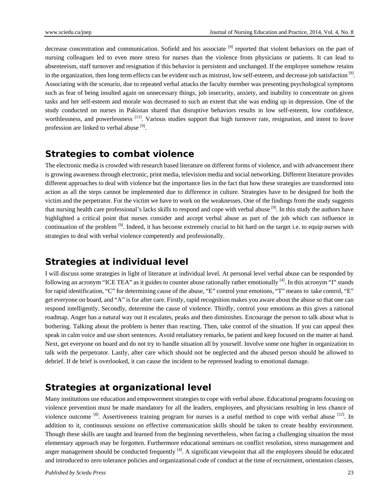decrease concentration and communication. Sofield and his associate  $^{[9]}$  reported that violent behaviors on the part of nursing colleagues led to even more stress for nurses than the violence from physicians or patients. It can lead to absenteeism, staff turnover and resignation if this behavior is persistent and unchanged. If the employee somehow retains in the organization, then long term effects can be evident such as mistrust, low self-esteem, and decrease job satisfaction  $\left[9\right]$ . Associating with the scenario, due to repeated verbal attacks the faculty member was presenting psychological symptoms such as fear of being insulted again on unnecessary things, job insecurity, anxiety, and inability to concentrate on given tasks and her self-esteem and morale was decreased to such an extent that she was ending up in depression. One of the study conducted on nurses in Pakistan shared that disruptive behaviors results in low self-esteem, low confidence, worthlessness, and powerlessness <sup>[11]</sup>. Various studies support that high turnover rate, resignation, and intent to leave profession are linked to verbal abuse  $[9]$ .

### **Strategies to combat violence**

The electronic media is crowded with research based literature on different forms of violence, and with advancement there is growing awareness through electronic, print media, television media and social networking. Different literature provides different approaches to deal with violence but the importance lies in the fact that how these strategies are transformed into action as all the steps cannot be implemented due to difference in culture. Strategies have to be designed for both the victim and the perpetrator. For the victim we have to work on the weaknesses. One of the findings from the study suggests that nursing health care professional's lacks skills to respond and cope with verbal abuse <sup>[9]</sup>. In this study the authors have highlighted a critical point that nurses consider and accept verbal abuse as part of the job which can influence in continuation of the problem  $\left[9\right]$ . Indeed, it has become extremely crucial to hit hard on the target i.e. to equip nurses with strategies to deal with verbal violence competently and professionally.

### **Strategies at individual level**

I will discuss some strategies in light of literature at individual level. At personal level verbal abuse can be responded by following an acronym "ICE TEA" as it guides to counter abuse rationally rather emotionally  $[4]$ . In this acronym "I" stands for rapid identification, "C" for determining cause of the abuse, "E" control your emotions, "T" means to take control, "E" get everyone on board, and "A" is for after care. Firstly, rapid recognition makes you aware about the abuse so that one can respond intelligently. Secondly, determine the cause of violence. Thirdly, control your emotions as this gives a rational roadmap. Anger has a natural way out it escalates, peaks and then diminishes. Encourage the person to talk about what is bothering. Talking about the problem is better than reacting. Then, take control of the situation. If you can appeal then speak in calm voice and use short sentences. Avoid retaliatory remarks, be patient and keep focused on the matter at hand. Next, get everyone on board and do not try to handle situation all by yourself. Involve some one higher in organization to talk with the perpetrator. Lastly, after care which should not be neglected and the abused person should be allowed to debrief. If de brief is overlooked, it can cause the incident to be repressed leading to emotional damage.

### **Strategies at organizational level**

Many institutions use education and empowerment strategies to cope with verbal abuse. Educational programs focusing on violence prevention must be made mandatory for all the leaders, employees, and physicians resulting in less chance of violence outcome  $[8]$ . Assertiveness training program for nurses is a useful method to cope with verbal abuse  $[12]$ . In addition to it, continuous sessions on effective communication skills should be taken to create healthy environment. Though these skills are taught and learned from the beginning nevertheless, when facing a challenging situation the most elementary approach may be forgotten. Furthermore educational seminars on conflict resolution, stress management and anger management should be conducted frequently  $^{[4]}$ . A significant viewpoint that all the employees should be educated and introduced to zero tolerance policies and organizational code of conduct at the time of recruitment, orientation classes,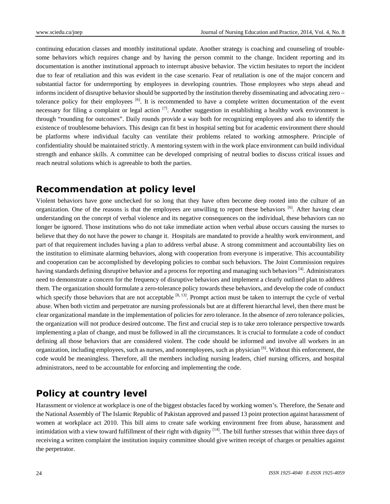continuing education classes and monthly institutional update. Another strategy is coaching and counseling of troublesome behaviors which requires change and by having the person commit to the change. Incident reporting and its documentation is another institutional approach to interrupt abusive behavior. The victim hesitates to report the incident due to fear of retaliation and this was evident in the case scenario. Fear of retaliation is one of the major concern and substantial factor for underreporting by employees in developing countries. Those employees who steps ahead and informs incident of disruptive behavior should be supported by the institution thereby disseminating and advocating zero – tolerance policy for their employees  $[6]$ . It is recommended to have a complete written documentation of the event necessary for filing a complaint or legal action  $^{[7]}$ . Another suggestion in establishing a healthy work environment is through "rounding for outcomes". Daily rounds provide a way both for recognizing employees and also to identify the existence of troublesome behaviors. This design can fit best in hospital setting but for academic environment there should be platforms where individual faculty can ventilate their problems related to working atmosphere. Principle of confidentiality should be maintained strictly. A mentoring system with in the work place environment can build individual strength and enhance skills. A committee can be developed comprising of neutral bodies to discuss critical issues and reach neutral solutions which is agreeable to both the parties.

#### **Recommendation at policy level**

Violent behaviors have gone unchecked for so long that they have often become deep rooted into the culture of an organization. One of the reasons is that the employees are unwilling to report these behaviors [6]. After having clear understanding on the concept of verbal violence and its negative consequences on the individual, these behaviors can no longer be ignored. Those institutions who do not take immediate action when verbal abuse occurs causing the nurses to believe that they do not have the power to change it. Hospitals are mandated to provide a healthy work environment, and part of that requirement includes having a plan to address verbal abuse. A strong commitment and accountability lies on the institution to eliminate alarming behaviors, along with cooperation from everyone is imperative. This accountability and cooperation can be accomplished by developing policies to combat such behaviors. The Joint Commission requires having standards defining disruptive behavior and a process for reporting and managing such behaviors [4]. Administrators need to demonstrate a concern for the frequency of disruptive behaviors and implement a clearly outlined plan to address them. The organization should formulate a zero-tolerance policy towards these behaviors, and develop the code of conduct which specify those behaviors that are not acceptable  $[8, 13]$ . Prompt action must be taken to interrupt the cycle of verbal abuse. When both victim and perpetrator are nursing professionals but are at different hierarchal level, then there must be clear organizational mandate in the implementation of policies for zero tolerance. In the absence of zero tolerance policies, the organization will not produce desired outcome. The first and crucial step is to take zero tolerance perspective towards implementing a plan of change, and must be followed in all the circumstances. It is crucial to formulate a code of conduct defining all those behaviors that are considered violent. The code should be informed and involve all workers in an organization, including employees, such as nurses, and nonemployees, such as physician [6]. Without this enforcement, the code would be meaningless. Therefore, all the members including nursing leaders, chief nursing officers, and hospital administrators, need to be accountable for enforcing and implementing the code.

#### **Policy at country level**

Harassment or violence at workplace is one of the biggest obstacles faced by working women's. Therefore, the Senate and the National Assembly of The Islamic Republic of Pakistan approved and passed 13 point protection against harassment of women at workplace act 2010. This bill aims to create safe working environment free from abuse, harassment and intimidation with a view toward fulfillment of their right with dignity  $[14]$ . The bill further stresses that within three days of receiving a written complaint the institution inquiry committee should give written receipt of charges or penalties against the perpetrator.